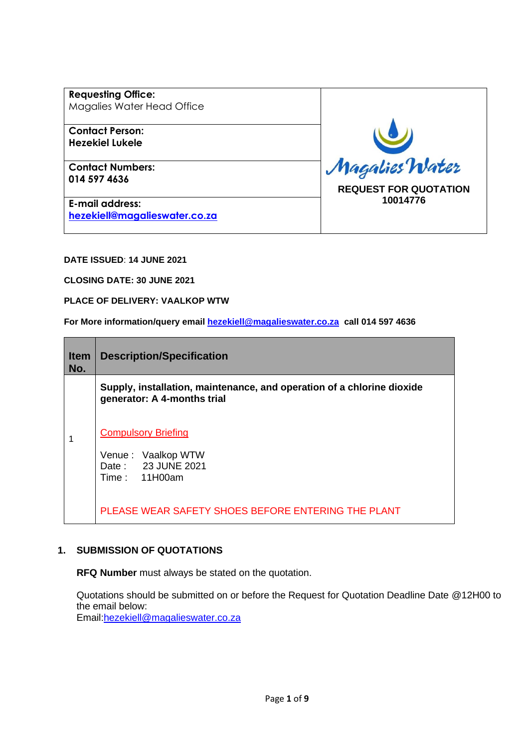**Requesting Office:** Magalies Water Head Office

**Contact Person: Hezekiel Lukele**

**Contact Numbers: 014 597 4636**

**E-mail address: [hezekiell@magalieswater.co.za](mailto:hezekiell@magalieswater.co.za)** Magalies Water **REQUEST FOR QUOTATION 10014776**

**DATE ISSUED**: **14 JUNE 2021**

**CLOSING DATE: 30 JUNE 2021**

**PLACE OF DELIVERY: VAALKOP WTW**

**For More information/query email [hezekiell@magalieswater.co.za](mailto:hezekiell@magalieswater.co.za) call 014 597 4636**

| <b>Item</b><br>No. | <b>Description/Specification</b>                                                                      |  |  |
|--------------------|-------------------------------------------------------------------------------------------------------|--|--|
|                    | Supply, installation, maintenance, and operation of a chlorine dioxide<br>generator: A 4-months trial |  |  |
|                    | <b>Compulsory Briefing</b><br>Venue: Vaalkop WTW<br>Date: 23 JUNE 2021<br>Time: 11H00am               |  |  |
|                    | PLEASE WEAR SAFETY SHOES BEFORE ENTERING THE PLANT                                                    |  |  |

## **1. SUBMISSION OF QUOTATIONS**

**RFQ Number** must always be stated on the quotation.

Quotations should be submitted on or before the Request for Quotation Deadline Date @12H00 to the email below: Email[:hezekiell@magalieswater.co.za](mailto:hezekiell@magalieswater.co.za)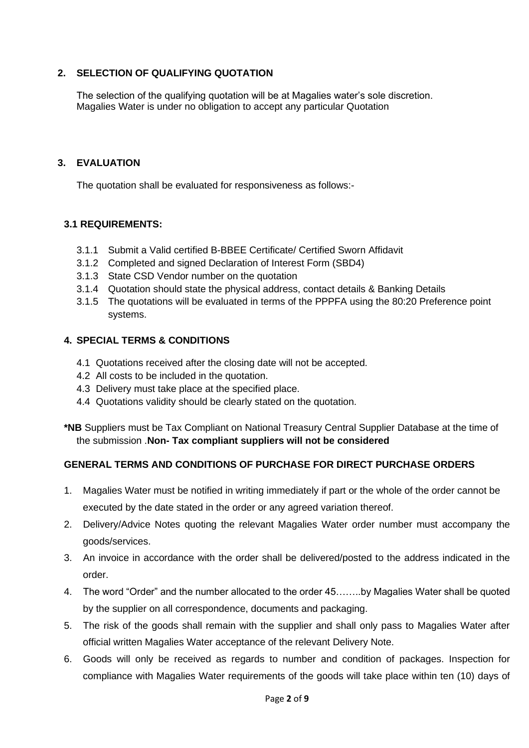## **2. SELECTION OF QUALIFYING QUOTATION**

The selection of the qualifying quotation will be at Magalies water's sole discretion. Magalies Water is under no obligation to accept any particular Quotation

### **3. EVALUATION**

The quotation shall be evaluated for responsiveness as follows:-

### **3.1 REQUIREMENTS:**

- 3.1.1 Submit a Valid certified B-BBEE Certificate/ Certified Sworn Affidavit
- 3.1.2 Completed and signed Declaration of Interest Form (SBD4)
- 3.1.3 State CSD Vendor number on the quotation
- 3.1.4 Quotation should state the physical address, contact details & Banking Details
- 3.1.5 The quotations will be evaluated in terms of the PPPFA using the 80:20 Preference point systems.

### **4. SPECIAL TERMS & CONDITIONS**

- 4.1 Quotations received after the closing date will not be accepted.
- 4.2 All costs to be included in the quotation.
- 4.3 Delivery must take place at the specified place.
- 4.4 Quotations validity should be clearly stated on the quotation.

**\*NB** Suppliers must be Tax Compliant on National Treasury Central Supplier Database at the time of the submission .**Non- Tax compliant suppliers will not be considered**

## **GENERAL TERMS AND CONDITIONS OF PURCHASE FOR DIRECT PURCHASE ORDERS**

- 1. Magalies Water must be notified in writing immediately if part or the whole of the order cannot be executed by the date stated in the order or any agreed variation thereof.
- 2. Delivery/Advice Notes quoting the relevant Magalies Water order number must accompany the goods/services.
- 3. An invoice in accordance with the order shall be delivered/posted to the address indicated in the order.
- 4. The word "Order" and the number allocated to the order 45……..by Magalies Water shall be quoted by the supplier on all correspondence, documents and packaging.
- 5. The risk of the goods shall remain with the supplier and shall only pass to Magalies Water after official written Magalies Water acceptance of the relevant Delivery Note.
- 6. Goods will only be received as regards to number and condition of packages. Inspection for compliance with Magalies Water requirements of the goods will take place within ten (10) days of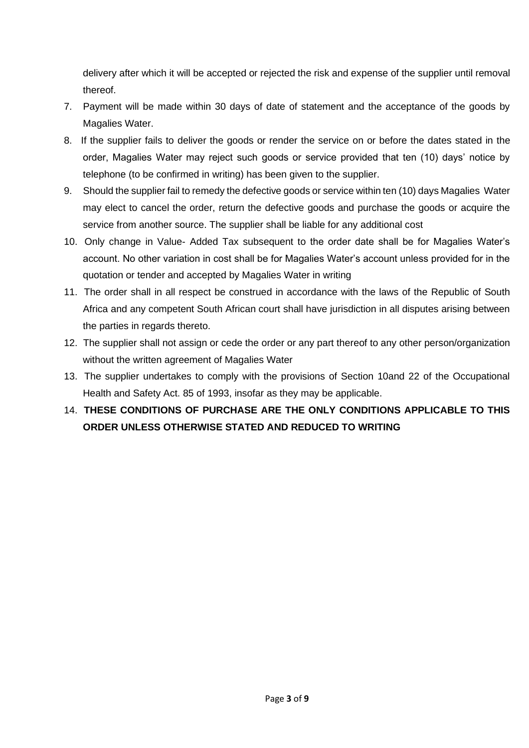delivery after which it will be accepted or rejected the risk and expense of the supplier until removal thereof.

- 7. Payment will be made within 30 days of date of statement and the acceptance of the goods by Magalies Water.
- 8. If the supplier fails to deliver the goods or render the service on or before the dates stated in the order, Magalies Water may reject such goods or service provided that ten (10) days' notice by telephone (to be confirmed in writing) has been given to the supplier.
- 9. Should the supplier fail to remedy the defective goods or service within ten (10) days Magalies Water may elect to cancel the order, return the defective goods and purchase the goods or acquire the service from another source. The supplier shall be liable for any additional cost
- 10. Only change in Value- Added Tax subsequent to the order date shall be for Magalies Water's account. No other variation in cost shall be for Magalies Water's account unless provided for in the quotation or tender and accepted by Magalies Water in writing
- 11. The order shall in all respect be construed in accordance with the laws of the Republic of South Africa and any competent South African court shall have jurisdiction in all disputes arising between the parties in regards thereto.
- 12. The supplier shall not assign or cede the order or any part thereof to any other person/organization without the written agreement of Magalies Water
- 13. The supplier undertakes to comply with the provisions of Section 10and 22 of the Occupational Health and Safety Act. 85 of 1993, insofar as they may be applicable.

# 14. **THESE CONDITIONS OF PURCHASE ARE THE ONLY CONDITIONS APPLICABLE TO THIS ORDER UNLESS OTHERWISE STATED AND REDUCED TO WRITING**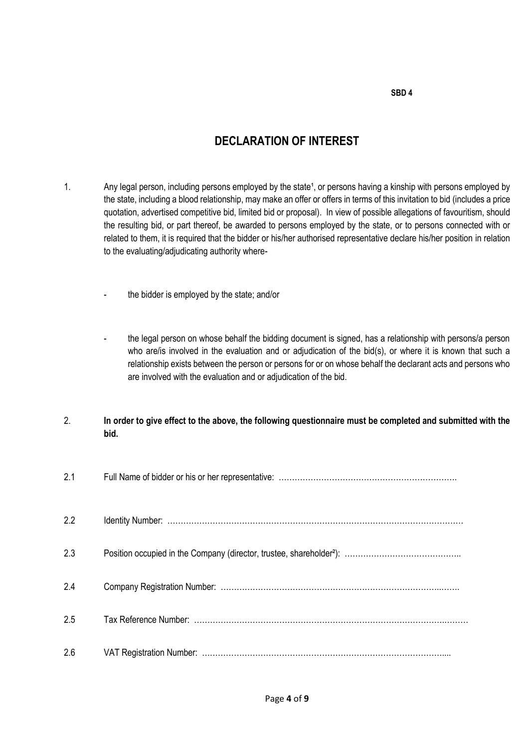# **DECLARATION OF INTEREST**

- 1. Any legal person, including persons employed by the state<sup>1</sup>, or persons having a kinship with persons employed by the state, including a blood relationship, may make an offer or offers in terms of this invitation to bid (includes a price quotation, advertised competitive bid, limited bid or proposal). In view of possible allegations of favouritism, should the resulting bid, or part thereof, be awarded to persons employed by the state, or to persons connected with or related to them, it is required that the bidder or his/her authorised representative declare his/her position in relation to the evaluating/adjudicating authority where
	- the bidder is employed by the state; and/or
	- the legal person on whose behalf the bidding document is signed, has a relationship with persons/a person who are/is involved in the evaluation and or adjudication of the bid(s), or where it is known that such a relationship exists between the person or persons for or on whose behalf the declarant acts and persons who are involved with the evaluation and or adjudication of the bid.

### 2. **In order to give effect to the above, the following questionnaire must be completed and submitted with the bid.**

| 2.1 |  |
|-----|--|
| 2.2 |  |
| 2.3 |  |
| 2.4 |  |
| 2.5 |  |
| 2.6 |  |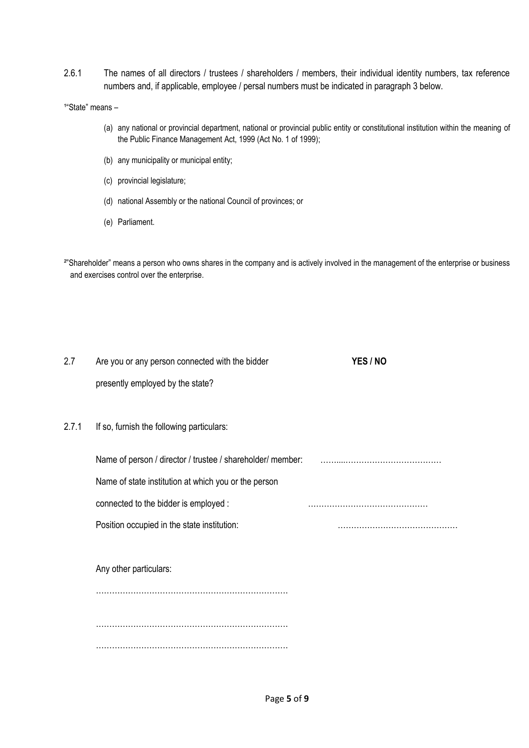- 2.6.1 The names of all directors / trustees / shareholders / members, their individual identity numbers, tax reference numbers and, if applicable, employee / persal numbers must be indicated in paragraph 3 below.
- <sup>1</sup>"State" means -
	- (a) any national or provincial department, national or provincial public entity or constitutional institution within the meaning of the Public Finance Management Act, 1999 (Act No. 1 of 1999);
	- (b) any municipality or municipal entity;
	- (c) provincial legislature;
	- (d) national Assembly or the national Council of provinces; or
	- (e) Parliament.

<sup>2"</sup>Shareholder" means a person who owns shares in the company and is actively involved in the management of the enterprise or business and exercises control over the enterprise.

| 2.7   | Are you or any person connected with the bidder            | YES / NO |
|-------|------------------------------------------------------------|----------|
|       | presently employed by the state?                           |          |
| 2.7.1 | If so, furnish the following particulars:                  |          |
|       | Name of person / director / trustee / shareholder/ member: |          |
|       | Name of state institution at which you or the person       |          |
|       | connected to the bidder is employed :                      |          |
|       | Position occupied in the state institution:                |          |
|       |                                                            |          |
|       | Any other particulars:                                     |          |
|       |                                                            |          |
|       |                                                            |          |
|       |                                                            |          |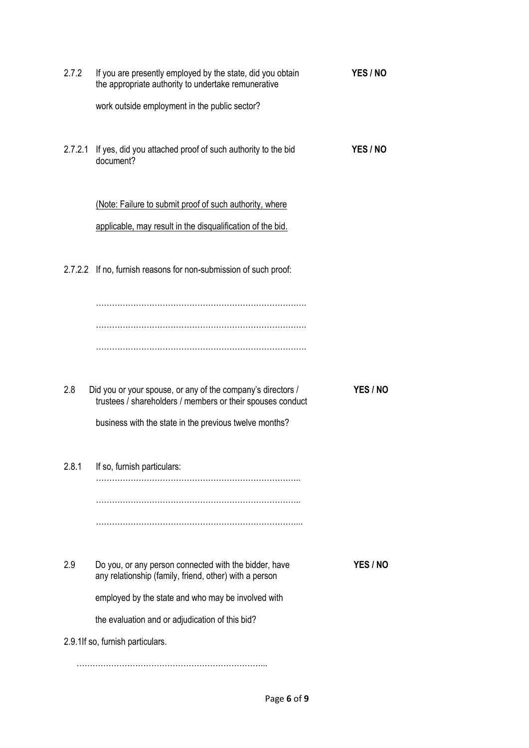| 2.7.2   | If you are presently employed by the state, did you obtain<br>the appropriate authority to undertake remunerative         | YES / NO |
|---------|---------------------------------------------------------------------------------------------------------------------------|----------|
|         | work outside employment in the public sector?                                                                             |          |
| 2.7.2.1 | If yes, did you attached proof of such authority to the bid<br>document?                                                  | YES / NO |
|         | (Note: Failure to submit proof of such authority, where                                                                   |          |
|         | applicable, may result in the disqualification of the bid.                                                                |          |
|         | 2.7.2.2 If no, furnish reasons for non-submission of such proof:                                                          |          |
|         |                                                                                                                           |          |
|         |                                                                                                                           |          |
|         |                                                                                                                           |          |
| 2.8     | Did you or your spouse, or any of the company's directors /<br>trustees / shareholders / members or their spouses conduct | YES / NO |
|         | business with the state in the previous twelve months?                                                                    |          |
| 2.8.1   | If so, furnish particulars:                                                                                               |          |
|         |                                                                                                                           |          |
|         |                                                                                                                           |          |
| 2.9     | Do you, or any person connected with the bidder, have<br>any relationship (family, friend, other) with a person           | YES / NO |
|         | employed by the state and who may be involved with                                                                        |          |
|         | the evaluation and or adjudication of this bid?                                                                           |          |
|         | 2.9.1If so, furnish particulars.                                                                                          |          |
|         |                                                                                                                           |          |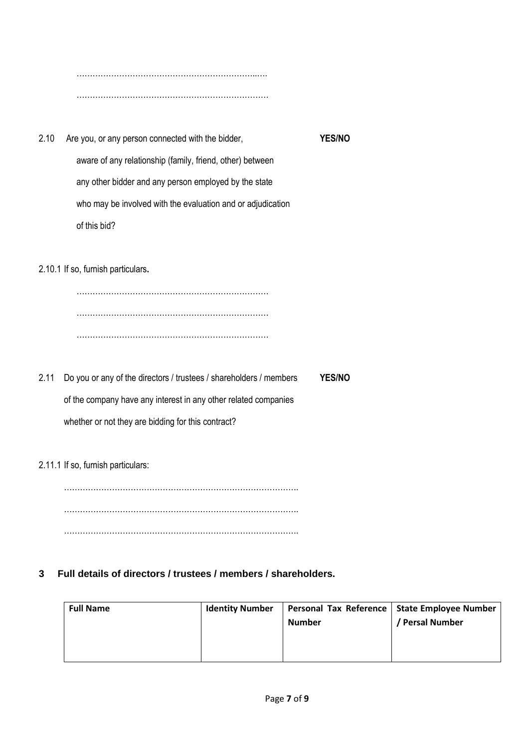…………………………………………………………..….  $\mathcal{L}_{\mathcal{M}}$ 

2.10 Are you, or any person connected with the bidder, **YES/NO** aware of any relationship (family, friend, other) between any other bidder and any person employed by the state who may be involved with the evaluation and or adjudication of this bid?

2.10.1 If so, furnish particulars**.**

……………………………………………………………… ……………………………………………………………… ………………………………………………………………

2.11 Do you or any of the directors / trustees / shareholders / members **YES/NO** of the company have any interest in any other related companies whether or not they are bidding for this contract?

2.11.1 If so, furnish particulars:

……………………………………………………………………………. . The same state of the state of the state of the state of the state of the state of the state of the state of the state of the state of the state of the state of the state of the state of the state of the state of the st …………………………………………………………………………….

**3 Full details of directors / trustees / members / shareholders.**

| <b>Full Name</b><br><b>Identity Number</b><br><b>Number</b> | Personal Tax Reference   State Employee Number<br>Persal Number |
|-------------------------------------------------------------|-----------------------------------------------------------------|
|-------------------------------------------------------------|-----------------------------------------------------------------|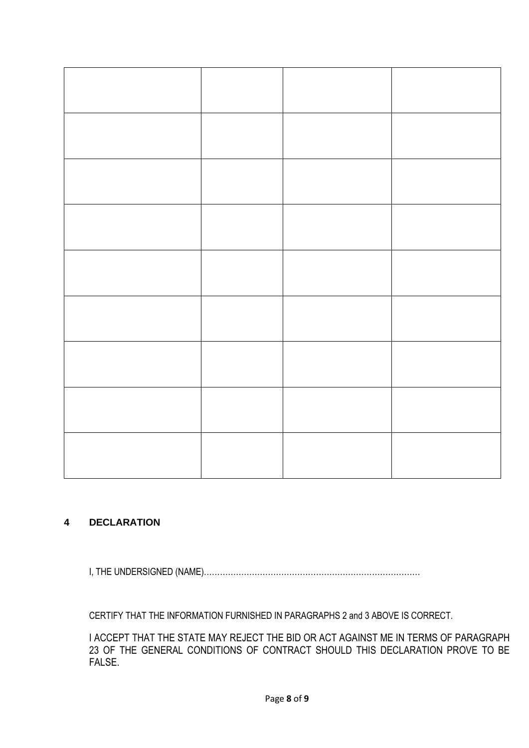## **4 DECLARATION**

I, THE UNDERSIGNED (NAME)………………………………………………………………………

CERTIFY THAT THE INFORMATION FURNISHED IN PARAGRAPHS 2 and 3 ABOVE IS CORRECT.

I ACCEPT THAT THE STATE MAY REJECT THE BID OR ACT AGAINST ME IN TERMS OF PARAGRAPH 23 OF THE GENERAL CONDITIONS OF CONTRACT SHOULD THIS DECLARATION PROVE TO BE FALSE.